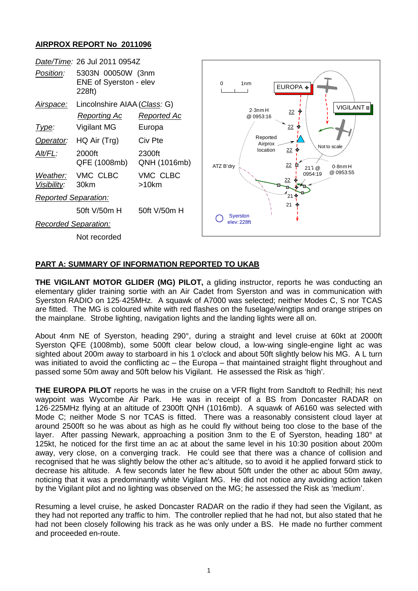## **AIRPROX REPORT No 2011096**



## **PART A: SUMMARY OF INFORMATION REPORTED TO UKAB**

**THE VIGILANT MOTOR GLIDER (MG) PILOT,** a gliding instructor, reports he was conducting an elementary glider training sortie with an Air Cadet from Syerston and was in communication with Syerston RADIO on 125·425MHz. A squawk of A7000 was selected; neither Modes C, S nor TCAS are fitted. The MG is coloured white with red flashes on the fuselage/wingtips and orange stripes on the mainplane. Strobe lighting, navigation lights and the landing lights were all on.

About 4nm NE of Syerston, heading 290°, during a straight and level cruise at 60kt at 2000ft Syerston QFE (1008mb), some 500ft clear below cloud, a low-wing single-engine light ac was sighted about 200m away to starboard in his 1 o'clock and about 50ft slightly below his MG. A L turn was initiated to avoid the conflicting ac – the Europa – that maintained straight flight throughout and passed some 50m away and 50ft below his Vigilant. He assessed the Risk as 'high'.

**THE EUROPA PILOT** reports he was in the cruise on a VFR flight from Sandtoft to Redhill; his next waypoint was Wycombe Air Park. He was in receipt of a BS from Doncaster RADAR on 126·225MHz flying at an altitude of 2300ft QNH (1016mb). A squawk of A6160 was selected with Mode C; neither Mode S nor TCAS is fitted. There was a reasonably consistent cloud layer at around 2500ft so he was about as high as he could fly without being too close to the base of the layer. After passing Newark, approaching a position 3nm to the E of Syerston, heading 180° at 125kt, he noticed for the first time an ac at about the same level in his 10:30 position about 200m away, very close, on a converging track. He could see that there was a chance of collision and recognised that he was slightly below the other ac's altitude, so to avoid it he applied forward stick to decrease his altitude. A few seconds later he flew about 50ft under the other ac about 50m away, noticing that it was a predominantly white Vigilant MG. He did not notice any avoiding action taken by the Vigilant pilot and no lighting was observed on the MG; he assessed the Risk as 'medium'.

Resuming a level cruise, he asked Doncaster RADAR on the radio if they had seen the Vigilant, as they had not reported any traffic to him. The controller replied that he had not, but also stated that he had not been closely following his track as he was only under a BS. He made no further comment and proceeded en-route.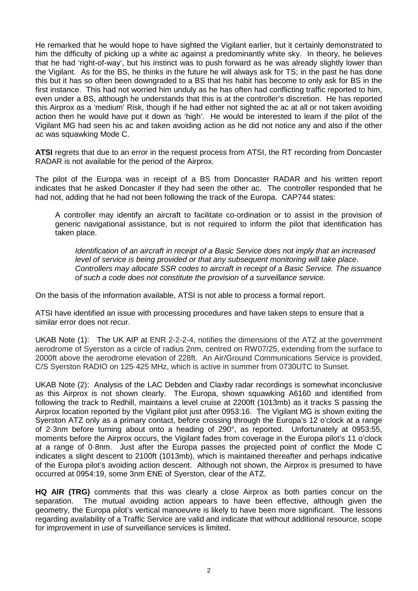He remarked that he would hope to have sighted the Vigilant earlier, but it certainly demonstrated to him the difficulty of picking up a white ac against a predominantly white sky. In theory, he believes that he had 'right-of-way', but his instinct was to push forward as he was already slightly lower than the Vigilant. As for the BS, he thinks in the future he will always ask for TS; in the past he has done this but it has so often been downgraded to a BS that his habit has become to only ask for BS in the first instance. This had not worried him unduly as he has often had conflicting traffic reported to him, even under a BS, although he understands that this is at the controller's discretion. He has reported this Airprox as a 'medium' Risk, though if he had either not sighted the ac at all or not taken avoiding action then he would have put it down as 'high'. He would be interested to learn if the pilot of the Vigilant MG had seen his ac and taken avoiding action as he did not notice any and also if the other ac was squawking Mode C.

**ATSI** regrets that due to an error in the request process from ATSI, the RT recording from Doncaster RADAR is not available for the period of the Airprox.

The pilot of the Europa was in receipt of a BS from Doncaster RADAR and his written report indicates that he asked Doncaster if they had seen the other ac. The controller responded that he had not, adding that he had not been following the track of the Europa. CAP744 states:

A controller may identify an aircraft to facilitate co-ordination or to assist in the provision of generic navigational assistance, but is not required to inform the pilot that identification has taken place.

*Identification of an aircraft in receipt of a Basic Service does not imply that an increased level of service is being provided or that any subsequent monitoring will take place. Controllers may allocate SSR codes to aircraft in receipt of a Basic Service. The issuance of such a code does not constitute the provision of a surveillance service.*

On the basis of the information available, ATSI is not able to process a formal report.

ATSI have identified an issue with processing procedures and have taken steps to ensure that a similar error does not recur.

UKAB Note (1): The UK AIP at ENR 2-2-2-4, notifies the dimensions of the ATZ at the government aerodrome of Syerston as a circle of radius 2nm, centred on RW07/25, extending from the surface to 2000ft above the aerodrome elevation of 228ft. An Air/Ground Communications Service is provided, C/S Syerston RADIO on 125·425 MHz, which is active in summer from 0730UTC to Sunset.

UKAB Note (2): Analysis of the LAC Debden and Claxby radar recordings is somewhat inconclusive as this Airprox is not shown clearly. The Europa, shown squawking A6160 and identified from following the track to Redhill, maintains a level cruise at 2200ft (1013mb) as it tracks S passing the Airprox location reported by the Vigilant pilot just after 0953:16. The Vigilant MG is shown exiting the Syerston ATZ only as a primary contact, before crossing through the Europa's 12 o'clock at a range of 2·3nm before turning about onto a heading of 290°, as reported. Unfortunately at 0953:55, moments before the Airprox occurs, the Vigilant fades from coverage in the Europa pilot's 11 o'clock at a range of 0·8nm. Just after the Europa passes the projected point of conflict the Mode C indicates a slight descent to 2100ft (1013mb), which is maintained thereafter and perhaps indicative of the Europa pilot's avoiding action descent. Although not shown, the Airprox is presumed to have occurred at 0954:19, some 3nm ENE of Syerston, clear of the ATZ.

**HQ AIR (TRG)** comments that this was clearly a close Airprox as both parties concur on the separation. The mutual avoiding action appears to have been effective, although given the geometry, the Europa pilot's vertical manoeuvre is likely to have been more significant. The lessons regarding availability of a Traffic Service are valid and indicate that without additional resource, scope for improvement in use of surveillance services is limited.